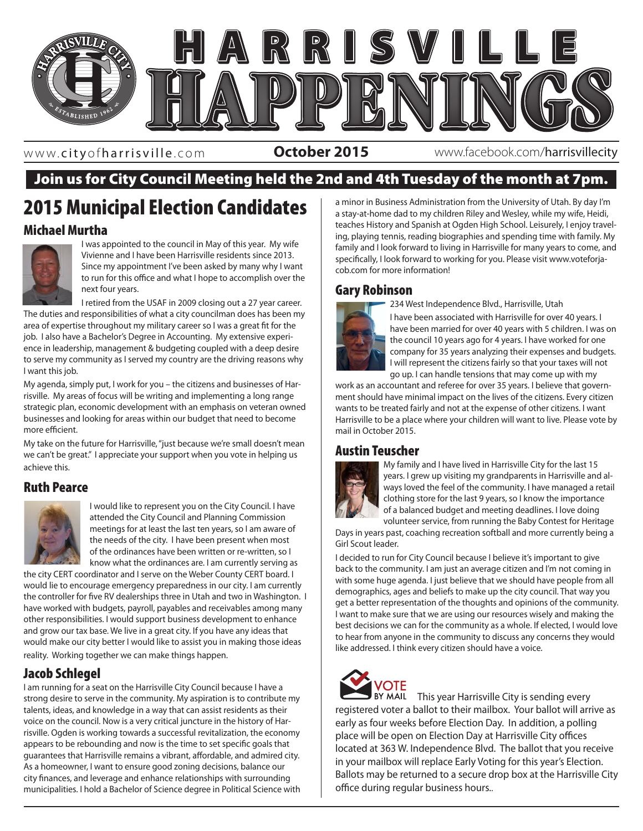

www. cityofharrisville .com

**October 2015** www.facebook.com/harrisvillecity

## Join us for City Council Meeting held the 2nd and 4th Tuesday of the month at 7pm.

# 2015 Municipal Election Candidates

### Michael Murtha



I was appointed to the council in May of this year. My wife Vivienne and I have been Harrisville residents since 2013. Since my appointment I've been asked by many why I want to run for this office and what I hope to accomplish over the next four years.

I retired from the USAF in 2009 closing out a 27 year career. The duties and responsibilities of what a city councilman does has been my area of expertise throughout my military career so I was a great fit for the job. I also have a Bachelor's Degree in Accounting. My extensive experience in leadership, management & budgeting coupled with a deep desire to serve my community as I served my country are the driving reasons why I want this job.

My agenda, simply put, I work for you – the citizens and businesses of Harrisville. My areas of focus will be writing and implementing a long range strategic plan, economic development with an emphasis on veteran owned businesses and looking for areas within our budget that need to become more efficient.

My take on the future for Harrisville, "just because we're small doesn't mean we can't be great." I appreciate your support when you vote in helping us achieve this.

### Ruth Pearce



I would like to represent you on the City Council. I have attended the City Council and Planning Commission meetings for at least the last ten years, so I am aware of the needs of the city. I have been present when most of the ordinances have been written or re-written, so I know what the ordinances are. I am currently serving as

the city CERT coordinator and I serve on the Weber County CERT board. I would lie to encourage emergency preparedness in our city. I am currently the controller for five RV dealerships three in Utah and two in Washington. I have worked with budgets, payroll, payables and receivables among many other responsibilities. I would support business development to enhance and grow our tax base. We live in a great city. If you have any ideas that would make our city better I would like to assist you in making those ideas reality. Working together we can make things happen.

### Jacob Schlegel

I am running for a seat on the Harrisville City Council because I have a strong desire to serve in the community. My aspiration is to contribute my talents, ideas, and knowledge in a way that can assist residents as their voice on the council. Now is a very critical juncture in the history of Harrisville. Ogden is working towards a successful revitalization, the economy appears to be rebounding and now is the time to set specific goals that guarantees that Harrisville remains a vibrant, affordable, and admired city. As a homeowner, I want to ensure good zoning decisions, balance our city finances, and leverage and enhance relationships with surrounding municipalities. I hold a Bachelor of Science degree in Political Science with

a minor in Business Administration from the University of Utah. By day I'm a stay-at-home dad to my children Riley and Wesley, while my wife, Heidi, teaches History and Spanish at Ogden High School. Leisurely, I enjoy traveling, playing tennis, reading biographies and spending time with family. My family and I look forward to living in Harrisville for many years to come, and specifically, I look forward to working for you. Please visit www.voteforjacob.com for more information!

### Gary Robinson

234 West Independence Blvd., Harrisville, Utah



I have been associated with Harrisville for over 40 years. I have been married for over 40 years with 5 children. I was on the council 10 years ago for 4 years. I have worked for one company for 35 years analyzing their expenses and budgets. I will represent the citizens fairly so that your taxes will not go up. I can handle tensions that may come up with my

mail in October 2015. work as an accountant and referee for over 35 years. I believe that government should have minimal impact on the lives of the citizens. Every citizen wants to be treated fairly and not at the expense of other citizens. I want Harrisville to be a place where your children will want to live. Please vote by

### Austin Teuscher



My family and I have lived in Harrisville City for the last 15 years. I grew up visiting my grandparents in Harrisville and always loved the feel of the community. I have managed a retail clothing store for the last 9 years, so I know the importance of a balanced budget and meeting deadlines. I love doing volunteer service, from running the Baby Contest for Heritage

Days in years past, coaching recreation softball and more currently being a Girl Scout leader.

I decided to run for City Council because I believe it's important to give back to the community. I am just an average citizen and I'm not coming in with some huge agenda. I just believe that we should have people from all demographics, ages and beliefs to make up the city council. That way you get a better representation of the thoughts and opinions of the community. I want to make sure that we are using our resources wisely and making the best decisions we can for the community as a whole. If elected, I would love to hear from anyone in the community to discuss any concerns they would like addressed. I think every citizen should have a voice.



**VOTE**<br>BY MAIL This year Harrisville City is sending every registered voter a ballot to their mailbox. Your ballot will arrive as early as four weeks before Election Day. In addition, a polling place will be open on Election Day at Harrisville City offices located at 363 W. Independence Blvd. The ballot that you receive in your mailbox will replace Early Voting for this year's Election. Ballots may be returned to a secure drop box at the Harrisville City office during regular business hours..